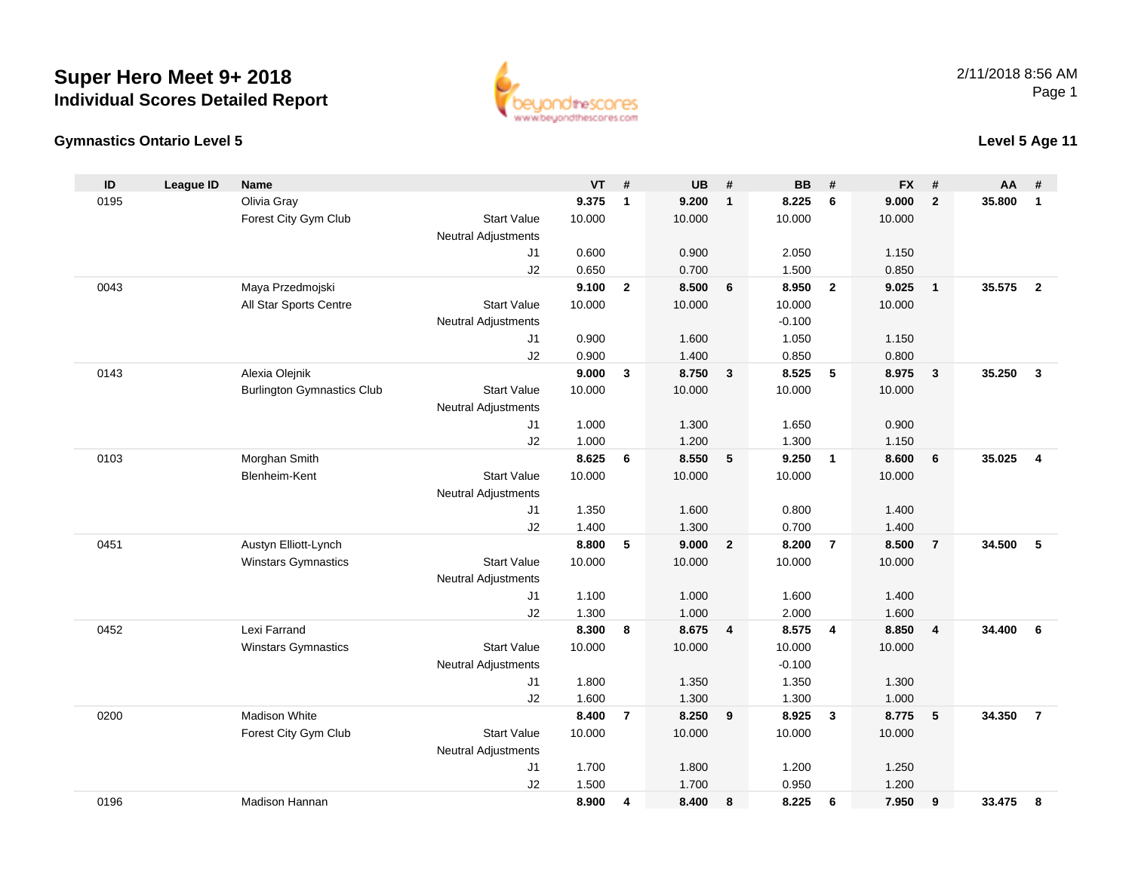



## **Level 5 Age 11**

| ID   | <b>League ID</b> | Name                              |                            | VT     | #              | UB     | #                       | <b>BB</b> | #              | <b>FX</b> | #                       | AA     | #                       |
|------|------------------|-----------------------------------|----------------------------|--------|----------------|--------|-------------------------|-----------|----------------|-----------|-------------------------|--------|-------------------------|
| 0195 |                  | Olivia Gray                       |                            | 9.375  | $\mathbf{1}$   | 9.200  | $\overline{\mathbf{1}}$ | 8.225     | 6              | 9.000     | $\overline{2}$          | 35.800 | $\mathbf{1}$            |
|      |                  | Forest City Gym Club              | <b>Start Value</b>         | 10.000 |                | 10.000 |                         | 10.000    |                | 10.000    |                         |        |                         |
|      |                  |                                   | <b>Neutral Adjustments</b> |        |                |        |                         |           |                |           |                         |        |                         |
|      |                  |                                   | J1                         | 0.600  |                | 0.900  |                         | 2.050     |                | 1.150     |                         |        |                         |
|      |                  |                                   | J2                         | 0.650  |                | 0.700  |                         | 1.500     |                | 0.850     |                         |        |                         |
| 0043 |                  | Maya Przedmojski                  |                            | 9.100  | $\overline{2}$ | 8.500  | 6                       | 8.950     | $\overline{2}$ | 9.025     | $\mathbf{1}$            | 35.575 | $\overline{2}$          |
|      |                  | All Star Sports Centre            | <b>Start Value</b>         | 10.000 |                | 10.000 |                         | 10.000    |                | 10.000    |                         |        |                         |
|      |                  |                                   | Neutral Adjustments        |        |                |        |                         | $-0.100$  |                |           |                         |        |                         |
|      |                  |                                   | J1                         | 0.900  |                | 1.600  |                         | 1.050     |                | 1.150     |                         |        |                         |
|      |                  |                                   | J2                         | 0.900  |                | 1.400  |                         | 0.850     |                | 0.800     |                         |        |                         |
| 0143 |                  | Alexia Olejnik                    |                            | 9.000  | 3              | 8.750  | $\mathbf{3}$            | 8.525     | $\sqrt{5}$     | 8.975     | $\overline{\mathbf{3}}$ | 35.250 | $\mathbf{3}$            |
|      |                  | <b>Burlington Gymnastics Club</b> | <b>Start Value</b>         | 10.000 |                | 10.000 |                         | 10.000    |                | 10.000    |                         |        |                         |
|      |                  |                                   | Neutral Adjustments        |        |                |        |                         |           |                |           |                         |        |                         |
|      |                  |                                   | J1                         | 1.000  |                | 1.300  |                         | 1.650     |                | 0.900     |                         |        |                         |
|      |                  |                                   | J2                         | 1.000  |                | 1.200  |                         | 1.300     |                | 1.150     |                         |        |                         |
| 0103 |                  | Morghan Smith                     |                            | 8.625  | 6              | 8.550  | $5\phantom{.0}$         | 9.250     | $\overline{1}$ | 8.600     | 6                       | 35.025 | $\overline{\mathbf{4}}$ |
|      |                  | Blenheim-Kent                     | <b>Start Value</b>         | 10.000 |                | 10.000 |                         | 10.000    |                | 10.000    |                         |        |                         |
|      |                  |                                   | <b>Neutral Adjustments</b> |        |                |        |                         |           |                |           |                         |        |                         |
|      |                  |                                   | J <sub>1</sub>             | 1.350  |                | 1.600  |                         | 0.800     |                | 1.400     |                         |        |                         |
|      |                  |                                   | J2                         | 1.400  |                | 1.300  |                         | 0.700     |                | 1.400     |                         |        |                         |
| 0451 |                  | Austyn Elliott-Lynch              |                            | 8.800  | 5              | 9.000  | $\overline{2}$          | 8.200     | $\overline{7}$ | 8.500     | $\overline{7}$          | 34.500 | 5                       |
|      |                  | Winstars Gymnastics               | <b>Start Value</b>         | 10.000 |                | 10.000 |                         | 10.000    |                | 10.000    |                         |        |                         |
|      |                  |                                   | <b>Neutral Adjustments</b> |        |                |        |                         |           |                |           |                         |        |                         |
|      |                  |                                   | J1                         | 1.100  |                | 1.000  |                         | 1.600     |                | 1.400     |                         |        |                         |
|      |                  |                                   | J2                         | 1.300  |                | 1.000  |                         | 2.000     |                | 1.600     |                         |        |                         |
| 0452 |                  | Lexi Farrand                      |                            | 8.300  | 8              | 8.675  | $\overline{4}$          | 8.575     | $\overline{4}$ | 8.850     | $\overline{4}$          | 34.400 | 6                       |
|      |                  | Winstars Gymnastics               | <b>Start Value</b>         | 10.000 |                | 10.000 |                         | 10.000    |                | 10.000    |                         |        |                         |
|      |                  |                                   | <b>Neutral Adjustments</b> |        |                |        |                         | $-0.100$  |                |           |                         |        |                         |
|      |                  |                                   | J <sub>1</sub>             | 1.800  |                | 1.350  |                         | 1.350     |                | 1.300     |                         |        |                         |
|      |                  |                                   | J2                         | 1.600  |                | 1.300  |                         | 1.300     |                | 1.000     |                         |        |                         |
| 0200 |                  | Madison White                     |                            | 8.400  | $\overline{7}$ | 8.250  | 9                       | 8.925     | $\mathbf{3}$   | 8.775     | 5                       | 34.350 | $\overline{7}$          |
|      |                  | Forest City Gym Club              | <b>Start Value</b>         | 10.000 |                | 10.000 |                         | 10.000    |                | 10.000    |                         |        |                         |
|      |                  |                                   | <b>Neutral Adjustments</b> |        |                |        |                         |           |                |           |                         |        |                         |
|      |                  |                                   | J1                         | 1.700  |                | 1.800  |                         | 1.200     |                | 1.250     |                         |        |                         |
|      |                  |                                   | J2                         | 1.500  |                | 1.700  |                         | 0.950     |                | 1.200     |                         |        |                         |
| 0196 |                  | <b>Madison Hannan</b>             |                            | 8.900  | 4              | 8.400  | 8                       | 8.225     | 6              | 7.950     | 9                       | 33.475 | 8                       |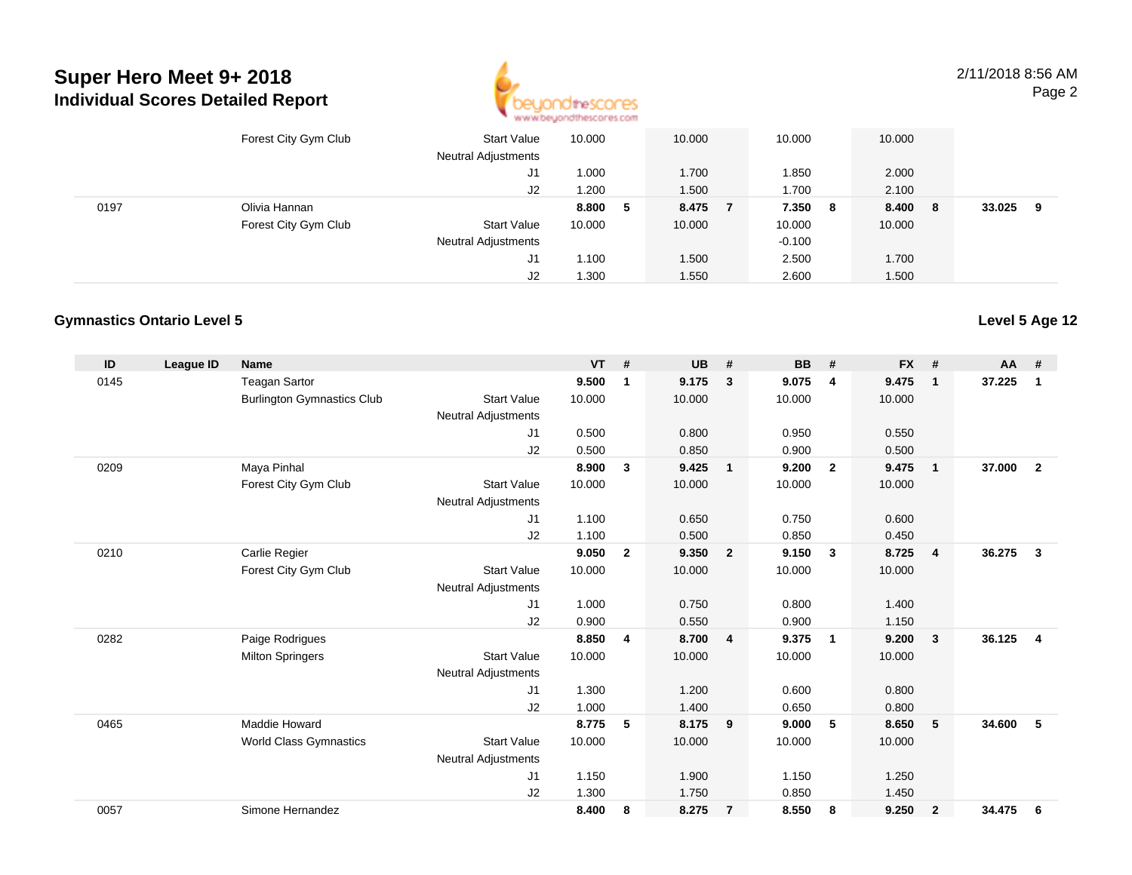

2/11/2018 8:56 AMPage 2

|      | Forest City Gym Club | <b>Start Value</b><br><b>Neutral Adjustments</b> | 10.000 |   | 10.000 | 10.000   |   | 10.000 |     |        |   |
|------|----------------------|--------------------------------------------------|--------|---|--------|----------|---|--------|-----|--------|---|
|      |                      | J1                                               | 1.000  |   | 1.700  | 1.850    |   | 2.000  |     |        |   |
|      |                      | J2                                               | 1.200  |   | 1.500  | 1.700    |   | 2.100  |     |        |   |
| 0197 | Olivia Hannan        |                                                  | 8.800  | 5 | 8.475  | 7.350    | 8 | 8.400  | - 8 | 33.025 | 9 |
|      | Forest City Gym Club | <b>Start Value</b>                               | 10.000 |   | 10.000 | 10.000   |   | 10.000 |     |        |   |
|      |                      | <b>Neutral Adjustments</b>                       |        |   |        | $-0.100$ |   |        |     |        |   |
|      |                      | J1                                               | 1.100  |   | 1.500  | 2.500    |   | 1.700  |     |        |   |
|      |                      | J2                                               | 1.300  |   | 1.550  | 2.600    |   | 1.500  |     |        |   |

#### **Gymnastics Ontario Level 5**

| ID   | <b>League ID</b> | <b>Name</b>                       |                            | <b>VT</b> | #              | <b>UB</b> | #                       | <b>BB</b> | #                       | <b>FX</b> | #              | <b>AA</b> | #              |
|------|------------------|-----------------------------------|----------------------------|-----------|----------------|-----------|-------------------------|-----------|-------------------------|-----------|----------------|-----------|----------------|
| 0145 |                  | <b>Teagan Sartor</b>              |                            | 9.500     | 1              | 9.175     | 3                       | 9.075     | 4                       | 9.475     | $\mathbf{1}$   | 37.225    | $\mathbf 1$    |
|      |                  | <b>Burlington Gymnastics Club</b> | <b>Start Value</b>         | 10.000    |                | 10.000    |                         | 10.000    |                         | 10.000    |                |           |                |
|      |                  |                                   | <b>Neutral Adjustments</b> |           |                |           |                         |           |                         |           |                |           |                |
|      |                  |                                   | J <sub>1</sub>             | 0.500     |                | 0.800     |                         | 0.950     |                         | 0.550     |                |           |                |
|      |                  |                                   | J2                         | 0.500     |                | 0.850     |                         | 0.900     |                         | 0.500     |                |           |                |
| 0209 |                  | Maya Pinhal                       |                            | 8.900     | $\mathbf{3}$   | 9.425     | $\overline{1}$          | 9.200     | $\overline{2}$          | 9.475     | $\mathbf{1}$   | 37,000    | $\overline{2}$ |
|      |                  | Forest City Gym Club              | <b>Start Value</b>         | 10.000    |                | 10.000    |                         | 10.000    |                         | 10.000    |                |           |                |
|      |                  |                                   | <b>Neutral Adjustments</b> |           |                |           |                         |           |                         |           |                |           |                |
|      |                  |                                   | J1                         | 1.100     |                | 0.650     |                         | 0.750     |                         | 0.600     |                |           |                |
|      |                  |                                   | J2                         | 1.100     |                | 0.500     |                         | 0.850     |                         | 0.450     |                |           |                |
| 0210 |                  | Carlie Regier                     |                            | 9.050     | $\overline{2}$ | 9.350     | $\overline{\mathbf{2}}$ | 9.150     | $\mathbf{3}$            | 8.725     | $\overline{4}$ | 36.275    | $\mathbf{3}$   |
|      |                  | Forest City Gym Club              | <b>Start Value</b>         | 10.000    |                | 10.000    |                         | 10.000    |                         | 10.000    |                |           |                |
|      |                  |                                   | <b>Neutral Adjustments</b> |           |                |           |                         |           |                         |           |                |           |                |
|      |                  |                                   | J <sub>1</sub>             | 1.000     |                | 0.750     |                         | 0.800     |                         | 1.400     |                |           |                |
|      |                  |                                   | J2                         | 0.900     |                | 0.550     |                         | 0.900     |                         | 1.150     |                |           |                |
| 0282 |                  | Paige Rodrigues                   |                            | 8.850     | 4              | 8.700     | $\overline{4}$          | 9.375     | $\overline{\mathbf{1}}$ | 9.200     | $\mathbf{3}$   | 36.125    | 4              |
|      |                  | <b>Milton Springers</b>           | <b>Start Value</b>         | 10.000    |                | 10.000    |                         | 10.000    |                         | 10.000    |                |           |                |
|      |                  |                                   | <b>Neutral Adjustments</b> |           |                |           |                         |           |                         |           |                |           |                |
|      |                  |                                   | J1                         | 1.300     |                | 1.200     |                         | 0.600     |                         | 0.800     |                |           |                |
|      |                  |                                   | J2                         | 1.000     |                | 1.400     |                         | 0.650     |                         | 0.800     |                |           |                |
| 0465 |                  | Maddie Howard                     |                            | 8.775     | 5              | 8.175     | - 9                     | 9.000     | 5                       | 8.650     | 5              | 34.600    | 5              |
|      |                  | <b>World Class Gymnastics</b>     | <b>Start Value</b>         | 10.000    |                | 10.000    |                         | 10.000    |                         | 10.000    |                |           |                |
|      |                  |                                   | <b>Neutral Adjustments</b> |           |                |           |                         |           |                         |           |                |           |                |
|      |                  |                                   | J <sub>1</sub>             | 1.150     |                | 1.900     |                         | 1.150     |                         | 1.250     |                |           |                |
|      |                  |                                   | J <sub>2</sub>             | 1.300     |                | 1.750     |                         | 0.850     |                         | 1.450     |                |           |                |
| 0057 |                  | Simone Hernandez                  |                            | 8.400     | 8              | 8.275     | $\overline{7}$          | 8.550     | 8                       | 9.250     | $\overline{2}$ | 34.475    | 6              |

#### **Level 5 Age 12**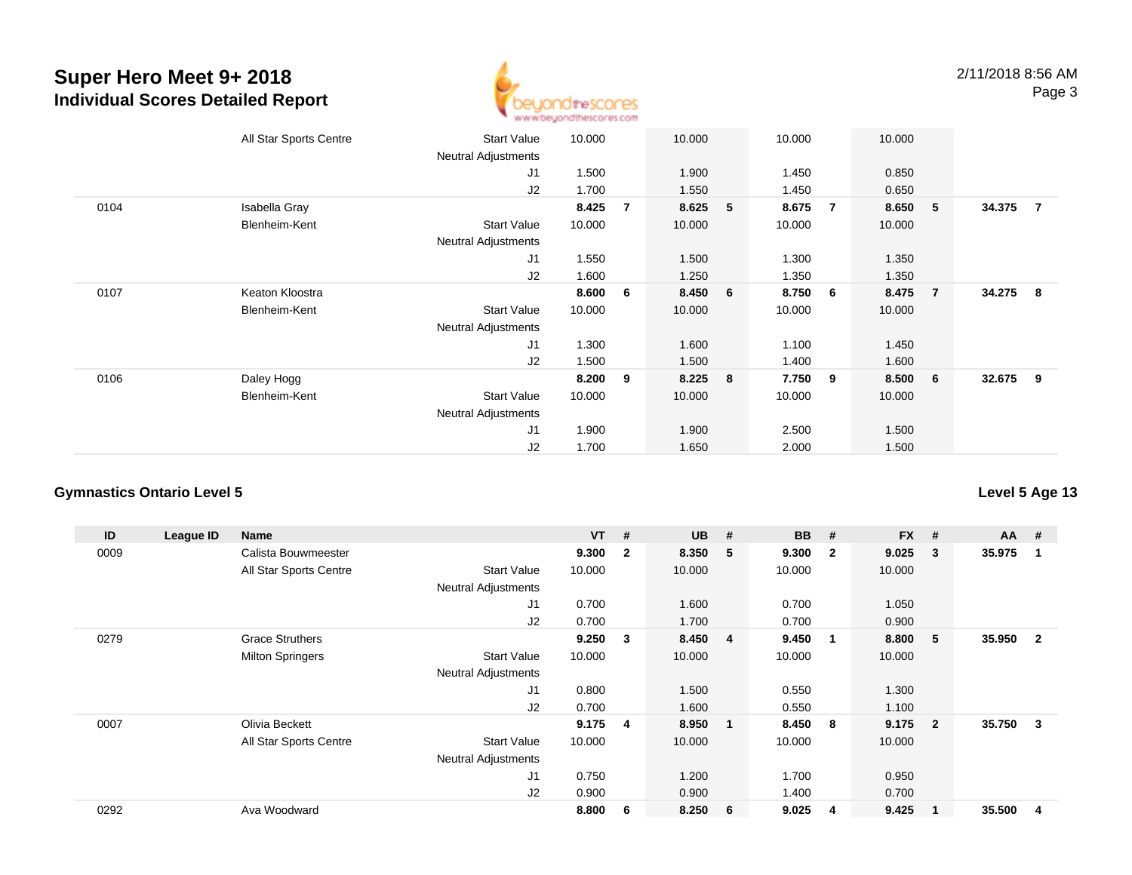

|      | All Star Sports Centre | <b>Start Value</b><br><b>Neutral Adjustments</b> | 10.000 |                | 10.000  |   | 10.000 |                | 10.000 |                |          |                |
|------|------------------------|--------------------------------------------------|--------|----------------|---------|---|--------|----------------|--------|----------------|----------|----------------|
|      |                        | J1                                               | 1.500  |                | 1.900   |   | 1.450  |                | 0.850  |                |          |                |
|      |                        | J2                                               | 1.700  |                | 1.550   |   | 1.450  |                | 0.650  |                |          |                |
| 0104 | Isabella Gray          |                                                  | 8.425  | $\overline{7}$ | 8.625   | 5 | 8.675  | $\overline{7}$ | 8.650  | 5              | 34.375   | $\overline{7}$ |
|      | Blenheim-Kent          | <b>Start Value</b>                               | 10.000 |                | 10.000  |   | 10.000 |                | 10.000 |                |          |                |
|      |                        | Neutral Adjustments<br>J1                        | 1.550  |                | 1.500   |   | 1.300  |                | 1.350  |                |          |                |
|      |                        |                                                  |        |                |         |   |        |                |        |                |          |                |
|      |                        | J2                                               | 1.600  |                | 1.250   |   | 1.350  |                | 1.350  |                |          |                |
| 0107 | Keaton Kloostra        |                                                  | 8.600  | 6              | 8.450 6 |   | 8.750  | 6              | 8.475  | $\overline{7}$ | 34.275 8 |                |
|      | Blenheim-Kent          | Start Value                                      | 10.000 |                | 10.000  |   | 10.000 |                | 10.000 |                |          |                |
|      |                        | <b>Neutral Adjustments</b>                       |        |                |         |   |        |                |        |                |          |                |
|      |                        | J <sub>1</sub>                                   | 1.300  |                | 1.600   |   | 1.100  |                | 1.450  |                |          |                |
|      |                        | J2                                               | 1.500  |                | 1.500   |   | 1.400  |                | 1.600  |                |          |                |
| 0106 | Daley Hogg             |                                                  | 8.200  | 9              | 8.225   | 8 | 7.750  | 9              | 8.500  | 6              | 32.675 9 |                |
|      | Blenheim-Kent          | <b>Start Value</b>                               | 10.000 |                | 10.000  |   | 10.000 |                | 10.000 |                |          |                |
|      |                        | <b>Neutral Adjustments</b>                       |        |                |         |   |        |                |        |                |          |                |
|      |                        | J <sub>1</sub>                                   | 1.900  |                | 1.900   |   | 2.500  |                | 1.500  |                |          |                |
|      |                        | J2                                               | 1.700  |                | 1.650   |   | 2.000  |                | 1.500  |                |          |                |

### **Gymnastics Ontario Level 5**

| ID   | League ID | <b>Name</b>             |                            | <b>VT</b> | #                       | <b>UB</b> | #                       | <b>BB</b> | #              | <b>FX</b> | #              | $AA$ # |                |
|------|-----------|-------------------------|----------------------------|-----------|-------------------------|-----------|-------------------------|-----------|----------------|-----------|----------------|--------|----------------|
| 0009 |           | Calista Bouwmeester     |                            | 9.300     | $\overline{\mathbf{2}}$ | 8.350     | -5                      | 9.300     | $\overline{2}$ | 9.025     | 3              | 35.975 | -1             |
|      |           | All Star Sports Centre  | <b>Start Value</b>         | 10.000    |                         | 10.000    |                         | 10.000    |                | 10.000    |                |        |                |
|      |           |                         | <b>Neutral Adjustments</b> |           |                         |           |                         |           |                |           |                |        |                |
|      |           |                         | J1                         | 0.700     |                         | 1.600     |                         | 0.700     |                | 1.050     |                |        |                |
|      |           |                         | J2                         | 0.700     |                         | 1.700     |                         | 0.700     |                | 0.900     |                |        |                |
| 0279 |           | <b>Grace Struthers</b>  |                            | 9.250     | $\mathbf{3}$            | 8.450     | 4                       | 9.450     | $\mathbf 1$    | 8.800     | 5              | 35.950 | $\overline{2}$ |
|      |           | <b>Milton Springers</b> | <b>Start Value</b>         | 10.000    |                         | 10.000    |                         | 10.000    |                | 10.000    |                |        |                |
|      |           |                         | Neutral Adjustments        |           |                         |           |                         |           |                |           |                |        |                |
|      |           |                         | J <sub>1</sub>             | 0.800     |                         | 1.500     |                         | 0.550     |                | 1.300     |                |        |                |
|      |           |                         | J2                         | 0.700     |                         | 1.600     |                         | 0.550     |                | 1.100     |                |        |                |
| 0007 |           | Olivia Beckett          |                            | 9.175     | 4                       | 8.950     | $\overline{\mathbf{1}}$ | 8.450     | 8              | 9.175     | $\overline{2}$ | 35.750 | 3              |
|      |           | All Star Sports Centre  | Start Value                | 10.000    |                         | 10.000    |                         | 10.000    |                | 10.000    |                |        |                |
|      |           |                         | <b>Neutral Adjustments</b> |           |                         |           |                         |           |                |           |                |        |                |
|      |           |                         | J1                         | 0.750     |                         | 1.200     |                         | 1.700     |                | 0.950     |                |        |                |
|      |           |                         | J2                         | 0.900     |                         | 0.900     |                         | 1.400     |                | 0.700     |                |        |                |
| 0292 |           | Ava Woodward            |                            | 8.800     | 6                       | 8.250     | - 6                     | 9.025     | 4              | 9.425     |                | 35.500 | 4              |

**Level 5 Age 13**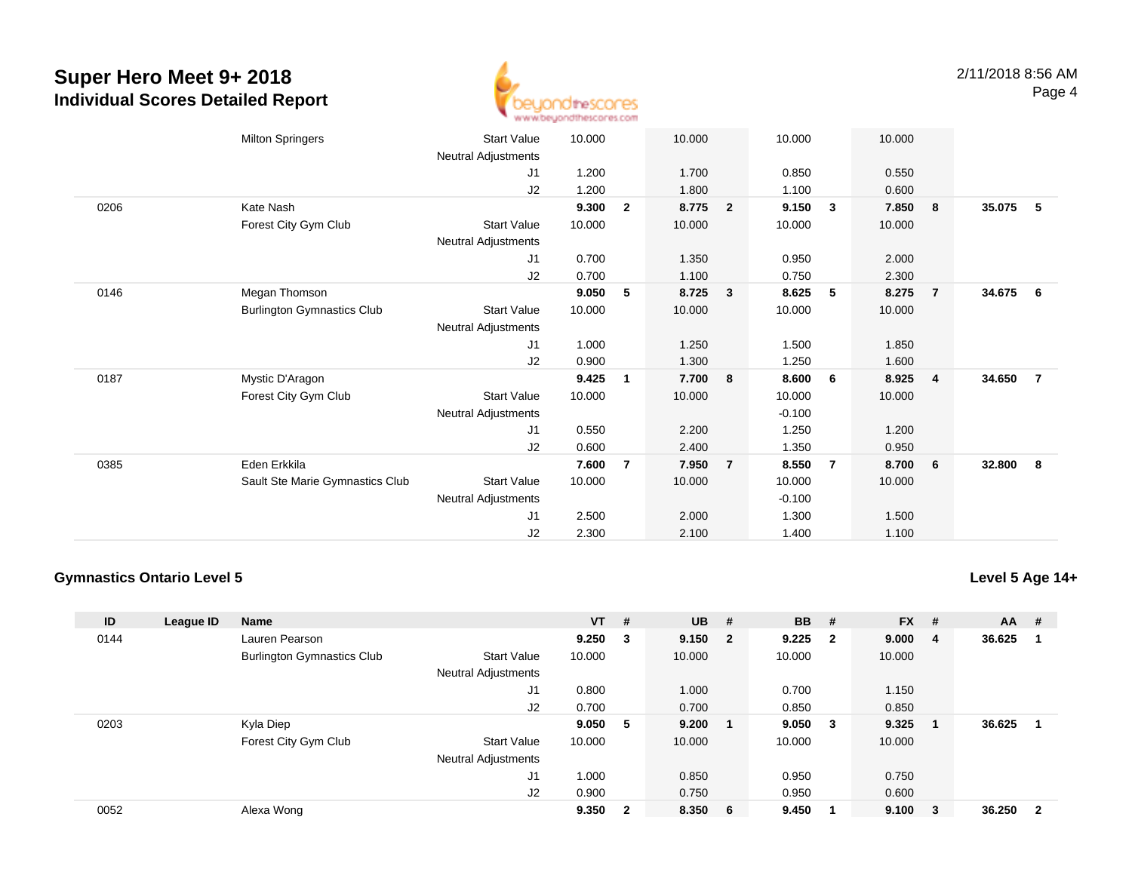

|      | <b>Milton Springers</b>           | Start Value         | 10.000 |                | 10.000 |                | 10.000   |                 | 10.000 |                |        |                |
|------|-----------------------------------|---------------------|--------|----------------|--------|----------------|----------|-----------------|--------|----------------|--------|----------------|
|      |                                   | Neutral Adjustments |        |                |        |                |          |                 |        |                |        |                |
|      |                                   | J1                  | 1.200  |                | 1.700  |                | 0.850    |                 | 0.550  |                |        |                |
|      |                                   | J2                  | 1.200  |                | 1.800  |                | 1.100    |                 | 0.600  |                |        |                |
| 0206 | Kate Nash                         |                     | 9.300  | $\overline{2}$ | 8.775  | $\overline{2}$ | 9.150    | $\mathbf{3}$    | 7.850  | 8              | 35.075 | -5             |
|      | Forest City Gym Club              | Start Value         | 10.000 |                | 10.000 |                | 10.000   |                 | 10.000 |                |        |                |
|      |                                   | Neutral Adjustments |        |                |        |                |          |                 |        |                |        |                |
|      |                                   | J1                  | 0.700  |                | 1.350  |                | 0.950    |                 | 2.000  |                |        |                |
|      |                                   | J2                  | 0.700  |                | 1.100  |                | 0.750    |                 | 2.300  |                |        |                |
| 0146 | Megan Thomson                     |                     | 9.050  | 5              | 8.725  | 3              | 8.625    | $5\phantom{.0}$ | 8.275  | $\overline{7}$ | 34.675 | - 6            |
|      | <b>Burlington Gymnastics Club</b> | Start Value         | 10.000 |                | 10.000 |                | 10.000   |                 | 10.000 |                |        |                |
|      |                                   | Neutral Adjustments |        |                |        |                |          |                 |        |                |        |                |
|      |                                   | J1                  | 1.000  |                | 1.250  |                | 1.500    |                 | 1.850  |                |        |                |
|      |                                   | J2                  | 0.900  |                | 1.300  |                | 1.250    |                 | 1.600  |                |        |                |
| 0187 | Mystic D'Aragon                   |                     | 9.425  | 1              | 7.700  | 8              | 8.600    | - 6             | 8.925  | $\overline{4}$ | 34.650 | $\overline{7}$ |
|      | Forest City Gym Club              | <b>Start Value</b>  | 10.000 |                | 10.000 |                | 10.000   |                 | 10.000 |                |        |                |
|      |                                   | Neutral Adjustments |        |                |        |                | $-0.100$ |                 |        |                |        |                |
|      |                                   | J1                  | 0.550  |                | 2.200  |                | 1.250    |                 | 1.200  |                |        |                |
|      |                                   | J2                  | 0.600  |                | 2.400  |                | 1.350    |                 | 0.950  |                |        |                |
| 0385 | Eden Erkkila                      |                     | 7.600  | 7              | 7.950  | $\overline{7}$ | 8.550    | $\overline{7}$  | 8.700  | - 6            | 32.800 | - 8            |
|      | Sault Ste Marie Gymnastics Club   | Start Value         | 10.000 |                | 10.000 |                | 10.000   |                 | 10.000 |                |        |                |
|      |                                   | Neutral Adjustments |        |                |        |                | $-0.100$ |                 |        |                |        |                |
|      |                                   | J1                  | 2.500  |                | 2.000  |                | 1.300    |                 | 1.500  |                |        |                |
|      |                                   | J <sub>2</sub>      | 2.300  |                | 2.100  |                | 1.400    |                 | 1.100  |                |        |                |

### **Gymnastics Ontario Level 5**

| ID   | League ID | <b>Name</b>                       |                            | $VT$ # |              | $UB$ #  | <b>BB</b> | - #                     | <b>FX</b> | #              | <b>AA</b> | #                       |
|------|-----------|-----------------------------------|----------------------------|--------|--------------|---------|-----------|-------------------------|-----------|----------------|-----------|-------------------------|
| 0144 |           | Lauren Pearson                    |                            | 9.250  | -3           | 9.150 2 | 9.225     | $\overline{\mathbf{2}}$ | 9.000     | $\overline{4}$ | 36.625    |                         |
|      |           | <b>Burlington Gymnastics Club</b> | <b>Start Value</b>         | 10.000 |              | 10.000  | 10.000    |                         | 10.000    |                |           |                         |
|      |           |                                   | <b>Neutral Adjustments</b> |        |              |         |           |                         |           |                |           |                         |
|      |           |                                   | J <sub>1</sub>             | 0.800  |              | 1.000   | 0.700     |                         | 1.150     |                |           |                         |
|      |           |                                   | J <sub>2</sub>             | 0.700  |              | 0.700   | 0.850     |                         | 0.850     |                |           |                         |
| 0203 |           | Kyla Diep                         |                            | 9.050  | 5            | 9.200   | 9.050     | - 3                     | 9.325     |                | 36.625    |                         |
|      |           | Forest City Gym Club              | <b>Start Value</b>         | 10.000 |              | 10.000  | 10.000    |                         | 10.000    |                |           |                         |
|      |           |                                   | <b>Neutral Adjustments</b> |        |              |         |           |                         |           |                |           |                         |
|      |           |                                   | J <sub>1</sub>             | 1.000  |              | 0.850   | 0.950     |                         | 0.750     |                |           |                         |
|      |           |                                   | J2                         | 0.900  |              | 0.750   | 0.950     |                         | 0.600     |                |           |                         |
| 0052 |           | Alexa Wong                        |                            | 9.350  | $\mathbf{2}$ | 8.350 6 | 9.450     |                         | 9.100     | - 3            | 36.250    | $\overline{\mathbf{2}}$ |

#### **Level 5 Age 14+**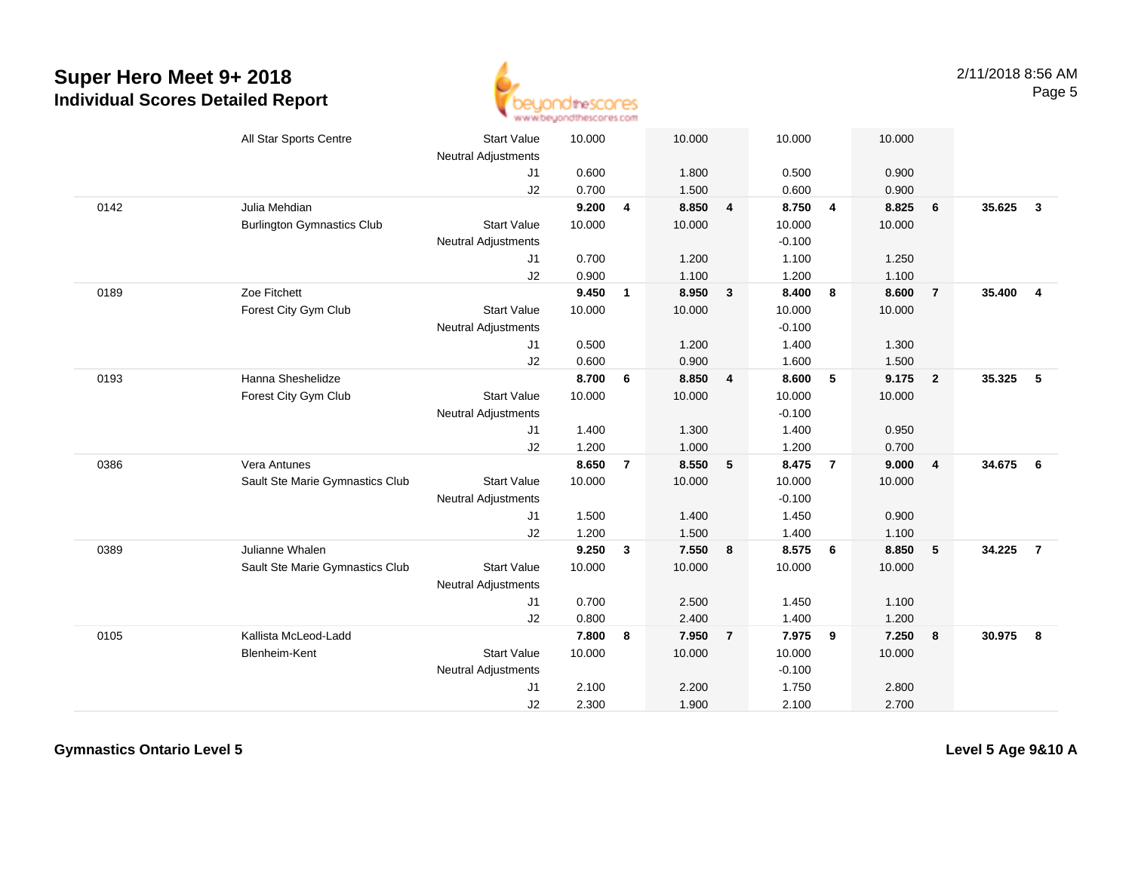

|      | All Star Sports Centre            | <b>Start Value</b><br><b>Neutral Adjustments</b> | 10.000 |                         | 10.000 |                | 10.000   |                | 10.000 |                         |          |                |
|------|-----------------------------------|--------------------------------------------------|--------|-------------------------|--------|----------------|----------|----------------|--------|-------------------------|----------|----------------|
|      |                                   | J1                                               | 0.600  |                         | 1.800  |                | 0.500    |                | 0.900  |                         |          |                |
|      |                                   | J2                                               | 0.700  |                         | 1.500  |                | 0.600    |                | 0.900  |                         |          |                |
| 0142 | Julia Mehdian                     |                                                  | 9.200  | $\overline{\mathbf{4}}$ | 8.850  | $\overline{4}$ | 8.750    | $\overline{4}$ | 8.825  | 6                       | 35.625   | $\mathbf{3}$   |
|      | <b>Burlington Gymnastics Club</b> | <b>Start Value</b>                               | 10.000 |                         | 10.000 |                | 10.000   |                | 10.000 |                         |          |                |
|      |                                   | Neutral Adjustments                              |        |                         |        |                | $-0.100$ |                |        |                         |          |                |
|      |                                   | J1                                               | 0.700  |                         | 1.200  |                | 1.100    |                | 1.250  |                         |          |                |
|      |                                   | J2                                               | 0.900  |                         | 1.100  |                | 1.200    |                | 1.100  |                         |          |                |
| 0189 | Zoe Fitchett                      |                                                  | 9.450  | $\mathbf{1}$            | 8.950  | $\mathbf{3}$   | 8.400    | 8              | 8.600  | $\overline{7}$          | 35.400   | $\overline{4}$ |
|      | Forest City Gym Club              | <b>Start Value</b>                               | 10.000 |                         | 10.000 |                | 10.000   |                | 10.000 |                         |          |                |
|      |                                   | <b>Neutral Adjustments</b>                       |        |                         |        |                | $-0.100$ |                |        |                         |          |                |
|      |                                   | J1                                               | 0.500  |                         | 1.200  |                | 1.400    |                | 1.300  |                         |          |                |
|      |                                   | J2                                               | 0.600  |                         | 0.900  |                | 1.600    |                | 1.500  |                         |          |                |
| 0193 | Hanna Sheshelidze                 |                                                  | 8.700  | 6                       | 8.850  | 4              | 8.600    | 5              | 9.175  | $\overline{\mathbf{2}}$ | 35.325   | -5             |
|      | Forest City Gym Club              | <b>Start Value</b>                               | 10.000 |                         | 10.000 |                | 10.000   |                | 10.000 |                         |          |                |
|      |                                   | Neutral Adjustments                              |        |                         |        |                | $-0.100$ |                |        |                         |          |                |
|      |                                   | J <sub>1</sub>                                   | 1.400  |                         | 1.300  |                | 1.400    |                | 0.950  |                         |          |                |
|      |                                   | J2                                               | 1.200  |                         | 1.000  |                | 1.200    |                | 0.700  |                         |          |                |
| 0386 | Vera Antunes                      |                                                  | 8.650  | $\overline{7}$          | 8.550  | 5              | 8.475    | $\overline{7}$ | 9.000  | $\overline{4}$          | 34.675 6 |                |
|      | Sault Ste Marie Gymnastics Club   | <b>Start Value</b>                               | 10.000 |                         | 10.000 |                | 10.000   |                | 10.000 |                         |          |                |
|      |                                   | Neutral Adjustments                              |        |                         |        |                | $-0.100$ |                |        |                         |          |                |
|      |                                   | J1                                               | 1.500  |                         | 1.400  |                | 1.450    |                | 0.900  |                         |          |                |
|      |                                   | J2                                               | 1.200  |                         | 1.500  |                | 1.400    |                | 1.100  |                         |          |                |
| 0389 | Julianne Whalen                   |                                                  | 9.250  | $\mathbf{3}$            | 7.550  | 8              | 8.575    | - 6            | 8.850  | $5\phantom{.0}$         | 34.225   | $\overline{7}$ |
|      | Sault Ste Marie Gymnastics Club   | <b>Start Value</b>                               | 10.000 |                         | 10.000 |                | 10.000   |                | 10.000 |                         |          |                |
|      |                                   | <b>Neutral Adjustments</b>                       |        |                         |        |                |          |                |        |                         |          |                |
|      |                                   | J <sub>1</sub>                                   | 0.700  |                         | 2.500  |                | 1.450    |                | 1.100  |                         |          |                |
|      |                                   | J2                                               | 0.800  |                         | 2.400  |                | 1.400    |                | 1.200  |                         |          |                |
| 0105 | Kallista McLeod-Ladd              |                                                  | 7.800  | 8                       | 7.950  | $\overline{7}$ | 7.975    | 9              | 7.250  | $\overline{\mathbf{8}}$ | 30.975   | 8              |
|      | Blenheim-Kent                     | <b>Start Value</b>                               | 10.000 |                         | 10.000 |                | 10.000   |                | 10.000 |                         |          |                |
|      |                                   | Neutral Adjustments                              |        |                         |        |                | $-0.100$ |                |        |                         |          |                |
|      |                                   | J1                                               | 2.100  |                         | 2.200  |                | 1.750    |                | 2.800  |                         |          |                |
|      |                                   | J2                                               | 2.300  |                         | 1.900  |                | 2.100    |                | 2.700  |                         |          |                |

**Gymnastics Ontario Level 5**

**Level 5 Age 9&10 A**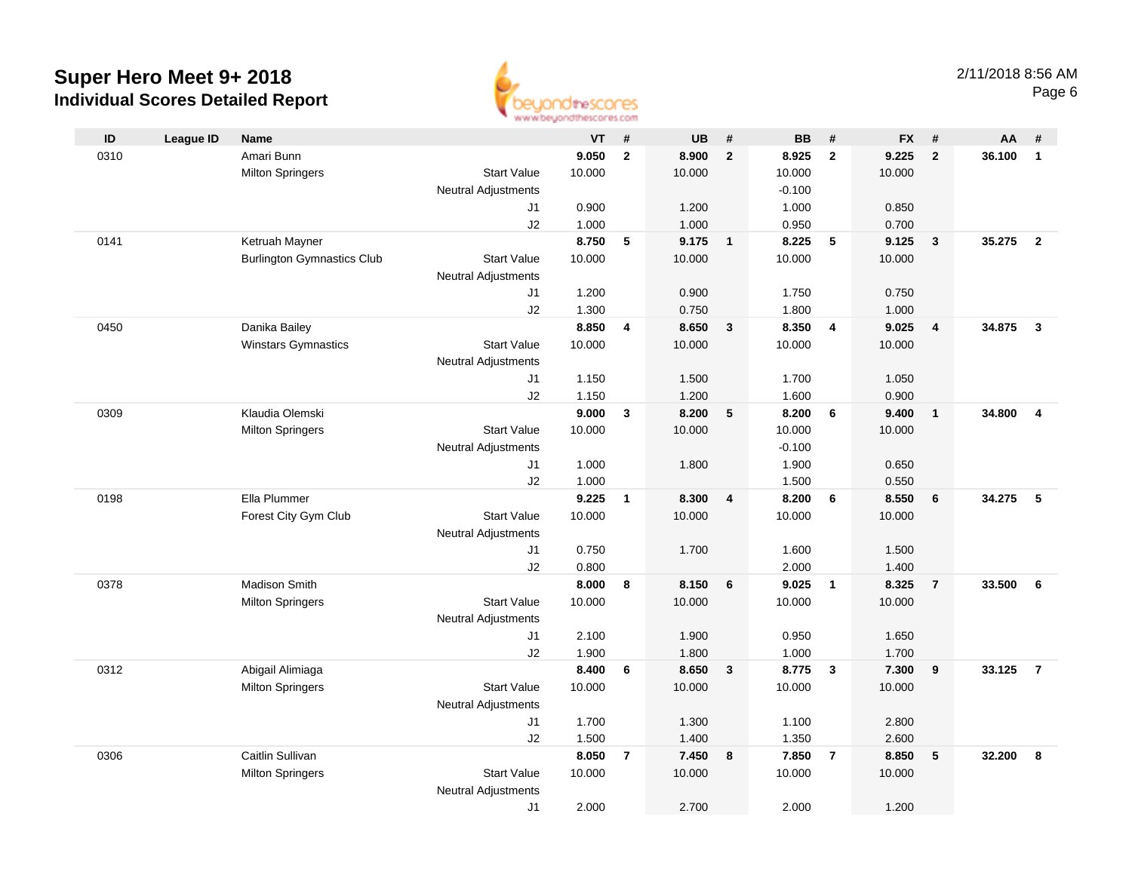

| ID   | <b>League ID</b> | <b>Name</b>                       |                            | VT              | #              | <b>UB</b>       | #              | <b>BB</b>      | #              | <b>FX</b>      | #              | AA     | #              |
|------|------------------|-----------------------------------|----------------------------|-----------------|----------------|-----------------|----------------|----------------|----------------|----------------|----------------|--------|----------------|
| 0310 |                  | Amari Bunn                        |                            | 9.050           | $\overline{2}$ | 8.900           | $\overline{2}$ | 8.925          | $\overline{2}$ | 9.225          | $\overline{2}$ | 36.100 | $\mathbf{1}$   |
|      |                  | <b>Milton Springers</b>           | <b>Start Value</b>         | 10.000          |                | 10.000          |                | 10.000         |                | 10.000         |                |        |                |
|      |                  |                                   | <b>Neutral Adjustments</b> |                 |                |                 |                | $-0.100$       |                |                |                |        |                |
|      |                  |                                   | J1                         | 0.900           |                | 1.200           |                | 1.000          |                | 0.850          |                |        |                |
|      |                  |                                   | J2                         | 1.000           |                | 1.000           |                | 0.950          |                | 0.700          |                |        |                |
| 0141 |                  | Ketruah Mayner                    |                            | 8.750           | $\sqrt{5}$     | 9.175           | $\overline{1}$ | 8.225          | 5              | 9.125          | $\mathbf{3}$   | 35.275 | $\overline{2}$ |
|      |                  | <b>Burlington Gymnastics Club</b> | <b>Start Value</b>         | 10.000          |                | 10.000          |                | 10.000         |                | 10.000         |                |        |                |
|      |                  |                                   | <b>Neutral Adjustments</b> |                 |                |                 |                |                |                |                |                |        |                |
|      |                  |                                   | J1                         | 1.200           |                | 0.900           |                | 1.750          |                | 0.750          |                |        |                |
|      |                  |                                   | J2                         | 1.300           |                | 0.750           |                | 1.800          |                | 1.000          |                |        |                |
| 0450 |                  | Danika Bailey                     |                            | 8.850           | 4              | 8.650           | 3              | 8.350          | $\overline{4}$ | 9.025          | $\overline{4}$ | 34.875 | $\mathbf{3}$   |
|      |                  | <b>Winstars Gymnastics</b>        | <b>Start Value</b>         | 10.000          |                | 10.000          |                | 10.000         |                | 10.000         |                |        |                |
|      |                  |                                   | <b>Neutral Adjustments</b> |                 |                |                 |                |                |                |                |                |        |                |
|      |                  |                                   | J1                         | 1.150           |                | 1.500           |                | 1.700          |                | 1.050          |                |        |                |
|      |                  |                                   | J2                         | 1.150           |                | 1.200           |                | 1.600          |                | 0.900          |                |        |                |
| 0309 |                  | Klaudia Olemski                   |                            | 9.000           | $\mathbf{3}$   | 8.200           | 5              | 8.200          | 6              | 9.400          | $\overline{1}$ | 34.800 | $\overline{4}$ |
|      |                  | <b>Milton Springers</b>           | <b>Start Value</b>         | 10.000          |                | 10.000          |                | 10.000         |                | 10.000         |                |        |                |
|      |                  |                                   | <b>Neutral Adjustments</b> |                 |                |                 |                | $-0.100$       |                |                |                |        |                |
|      |                  |                                   | J1                         | 1.000           |                | 1.800           |                | 1.900          |                | 0.650          |                |        |                |
|      |                  | Ella Plummer                      | J2                         | 1.000           |                |                 |                | 1.500<br>8.200 |                | 0.550<br>8.550 |                |        | 5              |
| 0198 |                  |                                   |                            | 9.225<br>10.000 | $\mathbf{1}$   | 8.300<br>10.000 | 4              |                | 6              |                | 6              | 34.275 |                |
|      |                  | Forest City Gym Club              | <b>Start Value</b>         |                 |                |                 |                | 10.000         |                | 10.000         |                |        |                |
|      |                  |                                   | <b>Neutral Adjustments</b> | 0.750           |                | 1.700           |                | 1.600          |                | 1.500          |                |        |                |
|      |                  |                                   | J1<br>J2                   | 0.800           |                |                 |                | 2.000          |                | 1.400          |                |        |                |
| 0378 |                  | Madison Smith                     |                            | 8.000           | 8              | 8.150           | 6              | 9.025          | $\overline{1}$ | 8.325          | $\overline{7}$ | 33.500 | 6              |
|      |                  | <b>Milton Springers</b>           | <b>Start Value</b>         | 10.000          |                | 10.000          |                | 10.000         |                | 10.000         |                |        |                |
|      |                  |                                   | <b>Neutral Adjustments</b> |                 |                |                 |                |                |                |                |                |        |                |
|      |                  |                                   | J1                         | 2.100           |                | 1.900           |                | 0.950          |                | 1.650          |                |        |                |
|      |                  |                                   | J2                         | 1.900           |                | 1.800           |                | 1.000          |                | 1.700          |                |        |                |
| 0312 |                  | Abigail Alimiaga                  |                            | 8.400           | 6              | 8.650           | $\mathbf{3}$   | 8.775          | $\mathbf{3}$   | 7.300          | 9              | 33.125 | $\overline{7}$ |
|      |                  | <b>Milton Springers</b>           | <b>Start Value</b>         | 10.000          |                | 10.000          |                | 10.000         |                | 10.000         |                |        |                |
|      |                  |                                   | <b>Neutral Adjustments</b> |                 |                |                 |                |                |                |                |                |        |                |
|      |                  |                                   | J1                         | 1.700           |                | 1.300           |                | 1.100          |                | 2.800          |                |        |                |
|      |                  |                                   | J2                         | 1.500           |                | 1.400           |                | 1.350          |                | 2.600          |                |        |                |
| 0306 |                  | Caitlin Sullivan                  |                            | 8.050           | $\overline{7}$ | 7.450           | 8              | 7.850          | $\overline{7}$ | 8.850          | 5              | 32.200 | 8              |
|      |                  | <b>Milton Springers</b>           | <b>Start Value</b>         | 10.000          |                | 10.000          |                | 10.000         |                | 10.000         |                |        |                |
|      |                  |                                   | <b>Neutral Adjustments</b> |                 |                |                 |                |                |                |                |                |        |                |
|      |                  |                                   | J1                         | 2.000           |                | 2.700           |                | 2.000          |                | 1.200          |                |        |                |
|      |                  |                                   |                            |                 |                |                 |                |                |                |                |                |        |                |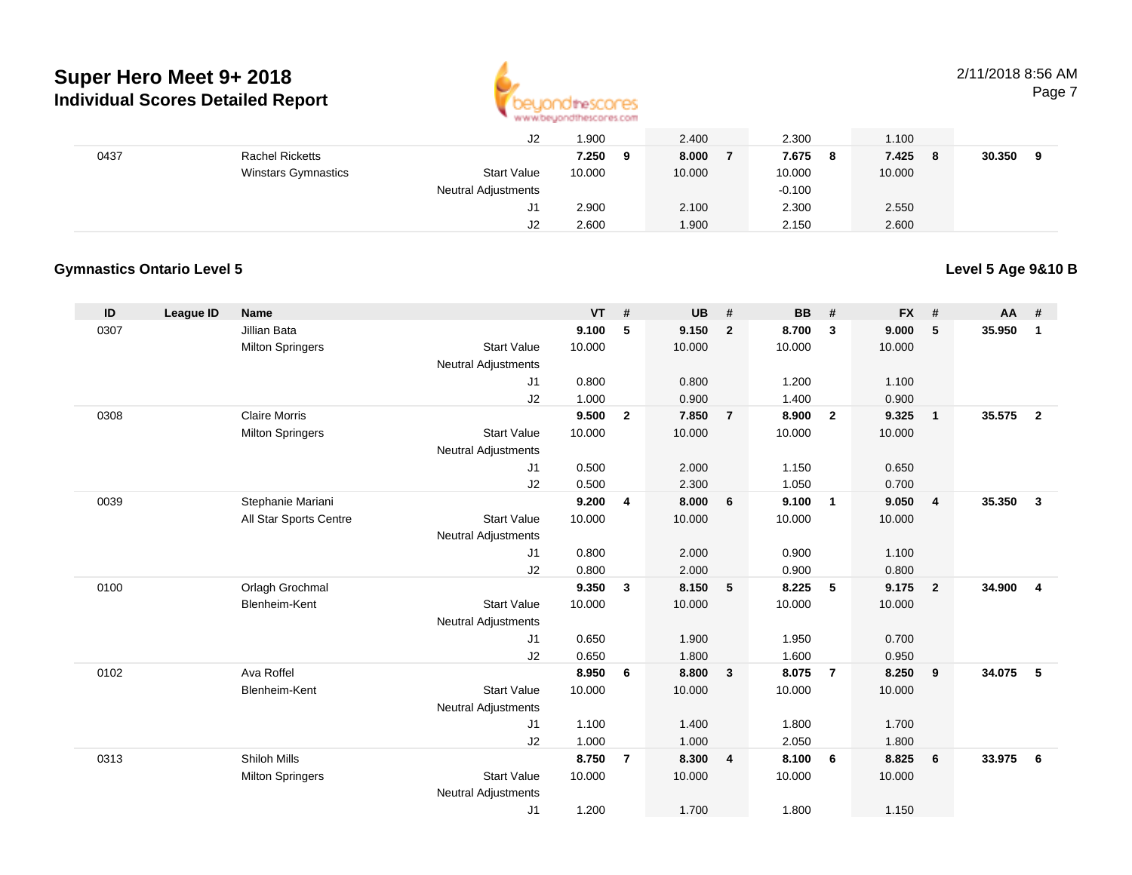

#### 2/11/2018 8:56 AMPage 7

|      |                            | J2                         | .900       | 2.400  | 2.300      | 1.100        |        |
|------|----------------------------|----------------------------|------------|--------|------------|--------------|--------|
| 0437 | <b>Rachel Ricketts</b>     |                            | 7.250<br>9 | 8.000  | 7.675<br>8 | 7.425<br>- 8 | 30.350 |
|      | <b>Winstars Gymnastics</b> | <b>Start Value</b>         | 10.000     | 10.000 | 10.000     | 10.000       |        |
|      |                            | <b>Neutral Adjustments</b> |            |        | $-0.100$   |              |        |
|      |                            | J1                         | 2.900      | 2.100  | 2.300      | 2.550        |        |
|      |                            | J2                         | 2.600      | 1.900  | 2.150      | 2.600        |        |

### **Gymnastics Ontario Level 5**

### **Level 5 Age 9&10 B**

| ID   | League ID | Name                    |                            | <b>VT</b>      | #              | UB             | #              | <b>BB</b>      | #              | <b>FX</b>      | #              | AA #   |                |
|------|-----------|-------------------------|----------------------------|----------------|----------------|----------------|----------------|----------------|----------------|----------------|----------------|--------|----------------|
| 0307 |           | Jillian Bata            |                            | 9.100          | 5              | 9.150          | $\overline{2}$ | 8.700          | $\mathbf{3}$   | 9.000          | 5              | 35.950 | 1              |
|      |           | <b>Milton Springers</b> | <b>Start Value</b>         | 10.000         |                | 10.000         |                | 10.000         |                | 10.000         |                |        |                |
|      |           |                         | <b>Neutral Adjustments</b> |                |                |                |                |                |                |                |                |        |                |
|      |           |                         | J1                         | 0.800          |                | 0.800          |                | 1.200          |                | 1.100          |                |        |                |
|      |           |                         | J2                         | 1.000          |                | 0.900          |                | 1.400          |                | 0.900          |                |        |                |
| 0308 |           | <b>Claire Morris</b>    |                            | 9.500          | $\mathbf{2}$   | 7.850          | $\overline{7}$ | 8.900          | $\overline{2}$ | 9.325          | $\overline{1}$ | 35.575 | $\overline{2}$ |
|      |           | <b>Milton Springers</b> | <b>Start Value</b>         | 10.000         |                | 10.000         |                | 10.000         |                | 10.000         |                |        |                |
|      |           |                         | Neutral Adjustments        |                |                |                |                |                |                |                |                |        |                |
|      |           |                         | J1                         | 0.500          |                | 2.000          |                | 1.150          |                | 0.650          |                |        |                |
| 0039 |           | Stephanie Mariani       | J2                         | 0.500<br>9.200 | 4              | 2.300<br>8.000 | 6              | 1.050<br>9.100 | $\overline{1}$ | 0.700<br>9.050 | $\overline{4}$ | 35.350 | $\mathbf{3}$   |
|      |           | All Star Sports Centre  | <b>Start Value</b>         | 10.000         |                | 10.000         |                | 10.000         |                | 10.000         |                |        |                |
|      |           |                         | <b>Neutral Adjustments</b> |                |                |                |                |                |                |                |                |        |                |
|      |           |                         | J1                         | 0.800          |                | 2.000          |                | 0.900          |                | 1.100          |                |        |                |
|      |           |                         | J2                         | 0.800          |                | 2.000          |                | 0.900          |                | 0.800          |                |        |                |
| 0100 |           | Orlagh Grochmal         |                            | 9.350          | 3              | 8.150          | 5              | 8.225          | -5             | 9.175          | $\overline{2}$ | 34.900 | $\overline{4}$ |
|      |           | Blenheim-Kent           | <b>Start Value</b>         | 10.000         |                | 10.000         |                | 10.000         |                | 10.000         |                |        |                |
|      |           |                         | <b>Neutral Adjustments</b> |                |                |                |                |                |                |                |                |        |                |
|      |           |                         | J1                         | 0.650          |                | 1.900          |                | 1.950          |                | 0.700          |                |        |                |
|      |           |                         | J2                         | 0.650          |                | 1.800          |                | 1.600          |                | 0.950          |                |        |                |
| 0102 |           | Ava Roffel              |                            | 8.950          | 6              | 8.800          | 3              | 8.075          | $\overline{7}$ | 8.250          | 9              | 34.075 | 5              |
|      |           | Blenheim-Kent           | <b>Start Value</b>         | 10.000         |                | 10.000         |                | 10.000         |                | 10.000         |                |        |                |
|      |           |                         | <b>Neutral Adjustments</b> |                |                |                |                |                |                |                |                |        |                |
|      |           |                         | J1                         | 1.100          |                | 1.400          |                | 1.800          |                | 1.700          |                |        |                |
|      |           |                         | J2                         | 1.000          |                | 1.000          |                | 2.050          |                | 1.800          |                |        |                |
| 0313 |           | <b>Shiloh Mills</b>     |                            | 8.750          | $\overline{7}$ | 8.300          | 4              | 8.100          | - 6            | 8.825          | 6              | 33.975 | 6              |
|      |           | <b>Milton Springers</b> | <b>Start Value</b>         | 10.000         |                | 10.000         |                | 10.000         |                | 10.000         |                |        |                |
|      |           |                         | <b>Neutral Adjustments</b> |                |                |                |                |                |                |                |                |        |                |
|      |           |                         | J1                         | 1.200          |                | 1.700          |                | 1.800          |                | 1.150          |                |        |                |